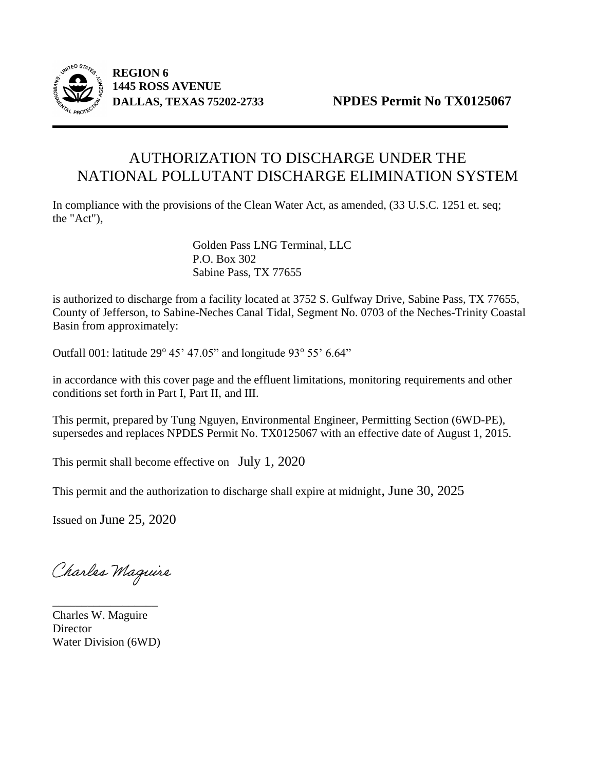

 **REGION 6 1445 ROSS AVENUE**

# AUTHORIZATION TO DISCHARGE UNDER THE NATIONAL POLLUTANT DISCHARGE ELIMINATION SYSTEM

In compliance with the provisions of the Clean Water Act, as amended, (33 U.S.C. 1251 et. seq; the "Act"),

> Golden Pass LNG Terminal, LLC P.O. Box 302 Sabine Pass, TX 77655

is authorized to discharge from a facility located at 3752 S. Gulfway Drive, Sabine Pass, TX 77655, County of Jefferson, to Sabine-Neches Canal Tidal, Segment No. 0703 of the Neches-Trinity Coastal Basin from approximately:

Outfall 001: latitude 29° 45' 47.05" and longitude 93° 55' 6.64"

in accordance with this cover page and the effluent limitations, monitoring requirements and other conditions set forth in Part I, Part II, and III.

This permit, prepared by Tung Nguyen, Environmental Engineer, Permitting Section (6WD-PE), supersedes and replaces NPDES Permit No. TX0125067 with an effective date of August 1, 2015.

This permit shall become effective on July 1, 2020

This permit and the authorization to discharge shall expire at midnight, June 30, 2025

Issued on June 25, 2020

Charles Maguire

Charles W. Maguire **Director** Water Division (6WD)

\_\_\_\_\_\_\_\_\_\_\_\_\_\_\_\_\_\_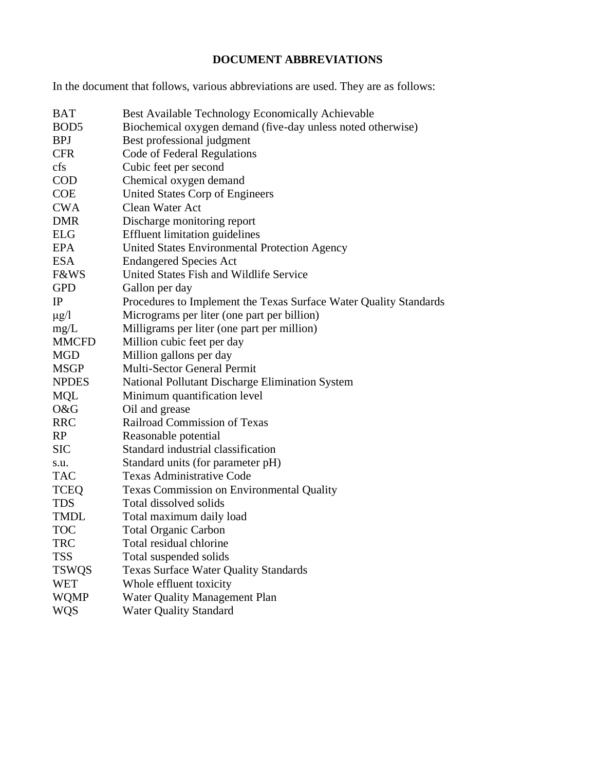# **DOCUMENT ABBREVIATIONS**

In the document that follows, various abbreviations are used. They are as follows:

| <b>BAT</b>       | Best Available Technology Economically Achievable                 |
|------------------|-------------------------------------------------------------------|
| BOD <sub>5</sub> | Biochemical oxygen demand (five-day unless noted otherwise)       |
| <b>BPJ</b>       | Best professional judgment                                        |
| <b>CFR</b>       | Code of Federal Regulations                                       |
| cfs              | Cubic feet per second                                             |
| <b>COD</b>       | Chemical oxygen demand                                            |
| <b>COE</b>       | United States Corp of Engineers                                   |
| <b>CWA</b>       | Clean Water Act                                                   |
| <b>DMR</b>       | Discharge monitoring report                                       |
| <b>ELG</b>       | <b>Effluent limitation guidelines</b>                             |
| <b>EPA</b>       | United States Environmental Protection Agency                     |
| <b>ESA</b>       | <b>Endangered Species Act</b>                                     |
| <b>F&amp;WS</b>  | United States Fish and Wildlife Service                           |
| <b>GPD</b>       | Gallon per day                                                    |
| IP               | Procedures to Implement the Texas Surface Water Quality Standards |
| $\mu$ g/l        | Micrograms per liter (one part per billion)                       |
| mg/L             | Milligrams per liter (one part per million)                       |
| <b>MMCFD</b>     | Million cubic feet per day                                        |
| <b>MGD</b>       | Million gallons per day                                           |
| <b>MSGP</b>      | Multi-Sector General Permit                                       |
| <b>NPDES</b>     | National Pollutant Discharge Elimination System                   |
| <b>MQL</b>       | Minimum quantification level                                      |
| O&G              | Oil and grease                                                    |
| <b>RRC</b>       | Railroad Commission of Texas                                      |
| RP               | Reasonable potential                                              |
| <b>SIC</b>       | Standard industrial classification                                |
| s.u.             | Standard units (for parameter pH)                                 |
| <b>TAC</b>       | <b>Texas Administrative Code</b>                                  |
| <b>TCEQ</b>      | Texas Commission on Environmental Quality                         |
| <b>TDS</b>       | Total dissolved solids                                            |
| <b>TMDL</b>      | Total maximum daily load                                          |
| <b>TOC</b>       | <b>Total Organic Carbon</b>                                       |
| <b>TRC</b>       | Total residual chlorine                                           |
| <b>TSS</b>       | Total suspended solids                                            |
| <b>TSWQS</b>     | <b>Texas Surface Water Quality Standards</b>                      |
| <b>WET</b>       | Whole effluent toxicity                                           |
| <b>WQMP</b>      | Water Quality Management Plan                                     |
| <b>WQS</b>       | <b>Water Quality Standard</b>                                     |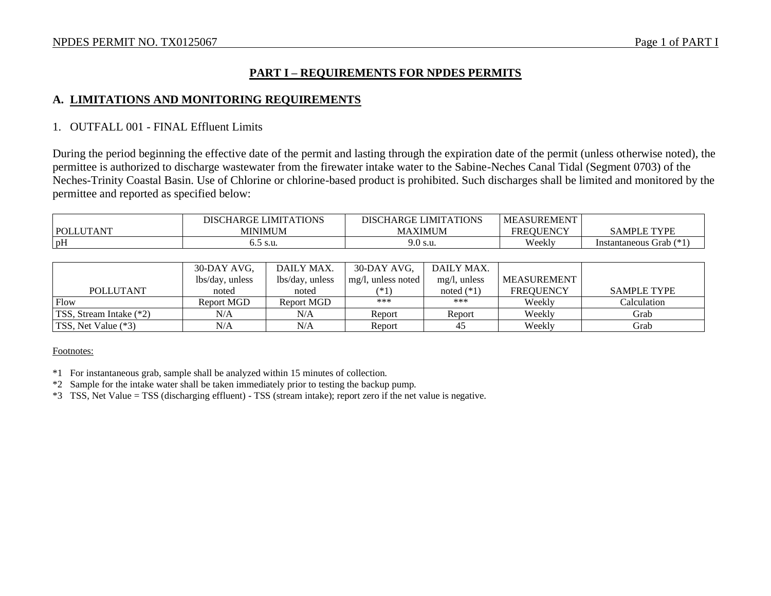### **PART I – REQUIREMENTS FOR NPDES PERMITS**

#### **A. LIMITATIONS AND MONITORING REQUIREMENTS**

#### 1. OUTFALL 001 - FINAL Effluent Limits

During the period beginning the effective date of the permit and lasting through the expiration date of the permit (unless otherwise noted), the permittee is authorized to discharge wastewater from the firewater intake water to the Sabine-Neches Canal Tidal (Segment 0703) of the Neches-Trinity Coastal Basin. Use of Chlorine or chlorine-based product is prohibited. Such discharges shall be limited and monitored by the permittee and reported as specified below:

|                  | <b>LIMITATIONS</b><br>DCT<br><b>DISC</b><br>אדוי: | ATIONS<br>LIMIT/<br>$\sqrt{2}$<br>DISCH.<br>ı ARCπF | <b>LASUREMENT</b><br>ME                  |                                    |
|------------------|---------------------------------------------------|-----------------------------------------------------|------------------------------------------|------------------------------------|
| <b>POL</b><br>ΑN | MINIMUM                                           | <b>IT THE</b><br>(IMUM<br>МA                        | <b>TIPLICE</b><br>FR.<br>EOU.<br>' JENC. | <b>TVDI</b><br>$\Delta MP^{r}$     |
| pH               | ` S.U.<br>ິ                                       | Э.0 s.u.                                            | Weekly                                   | $4 - 1$<br>s Grab<br>Instantaneous |

|                                 | 30-DAY AVG,     | DAILY MAX.      | 30-DAY AVG,           | DAILY MAX.      |                  |                    |
|---------------------------------|-----------------|-----------------|-----------------------|-----------------|------------------|--------------------|
|                                 | lbs/day, unless | lbs/day, unless | $mg/l$ , unless noted | $mg/l$ , unless | MEASUREMENT      |                    |
| <b>POLLUTANT</b>                | noted           | noted           | $(*1)$                | noted $(*1)$    | <b>FREOUENCY</b> | <b>SAMPLE TYPE</b> |
| Flow                            | Report MGD      | Report MGD      | ***                   | ***             | Weekly           | Calculation        |
| <b>TSS</b> , Stream Intake (*2) | N/A             | N/A             | Report                | Report          | Weekly           | Grab               |
| TSS, Net Value (*3)             | N/A             | N/A             | Report                | 45              | Weekly           | Grab               |

#### Footnotes:

- \*1 For instantaneous grab, sample shall be analyzed within 15 minutes of collection.
- \*2 Sample for the intake water shall be taken immediately prior to testing the backup pump.
- \*3 TSS, Net Value = TSS (discharging effluent) TSS (stream intake); report zero if the net value is negative.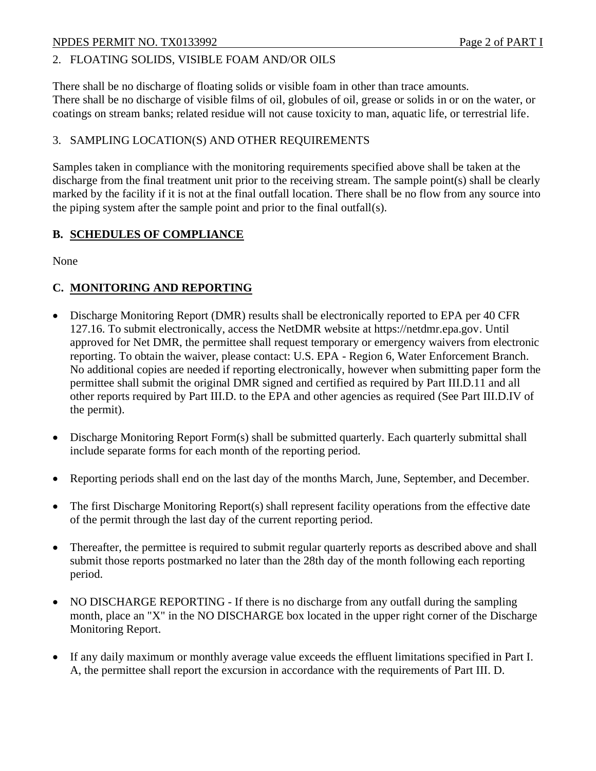### NPDES PERMIT NO. TX0133992 Page 2 of PART I

#### 2. FLOATING SOLIDS, VISIBLE FOAM AND/OR OILS

There shall be no discharge of floating solids or visible foam in other than trace amounts. There shall be no discharge of visible films of oil, globules of oil, grease or solids in or on the water, or coatings on stream banks; related residue will not cause toxicity to man, aquatic life, or terrestrial life.

#### 3. SAMPLING LOCATION(S) AND OTHER REQUIREMENTS

Samples taken in compliance with the monitoring requirements specified above shall be taken at the discharge from the final treatment unit prior to the receiving stream. The sample point(s) shall be clearly marked by the facility if it is not at the final outfall location. There shall be no flow from any source into the piping system after the sample point and prior to the final outfall(s).

#### **B. SCHEDULES OF COMPLIANCE**

None

#### **C. MONITORING AND REPORTING**

- Discharge Monitoring Report (DMR) results shall be electronically reported to EPA per 40 CFR 127.16. To submit electronically, access the NetDMR website at https://netdmr.epa.gov. Until approved for Net DMR, the permittee shall request temporary or emergency waivers from electronic reporting. To obtain the waiver, please contact: U.S. EPA - Region 6, Water Enforcement Branch. No additional copies are needed if reporting electronically, however when submitting paper form the permittee shall submit the original DMR signed and certified as required by Part III.D.11 and all other reports required by Part III.D. to the EPA and other agencies as required (See Part III.D.IV of the permit).
- Discharge Monitoring Report Form(s) shall be submitted quarterly. Each quarterly submittal shall include separate forms for each month of the reporting period.
- Reporting periods shall end on the last day of the months March, June, September, and December.
- The first Discharge Monitoring Report(s) shall represent facility operations from the effective date of the permit through the last day of the current reporting period.
- Thereafter, the permittee is required to submit regular quarterly reports as described above and shall submit those reports postmarked no later than the 28th day of the month following each reporting period.
- NO DISCHARGE REPORTING If there is no discharge from any outfall during the sampling month, place an "X" in the NO DISCHARGE box located in the upper right corner of the Discharge Monitoring Report.
- If any daily maximum or monthly average value exceeds the effluent limitations specified in Part I. A, the permittee shall report the excursion in accordance with the requirements of Part III. D.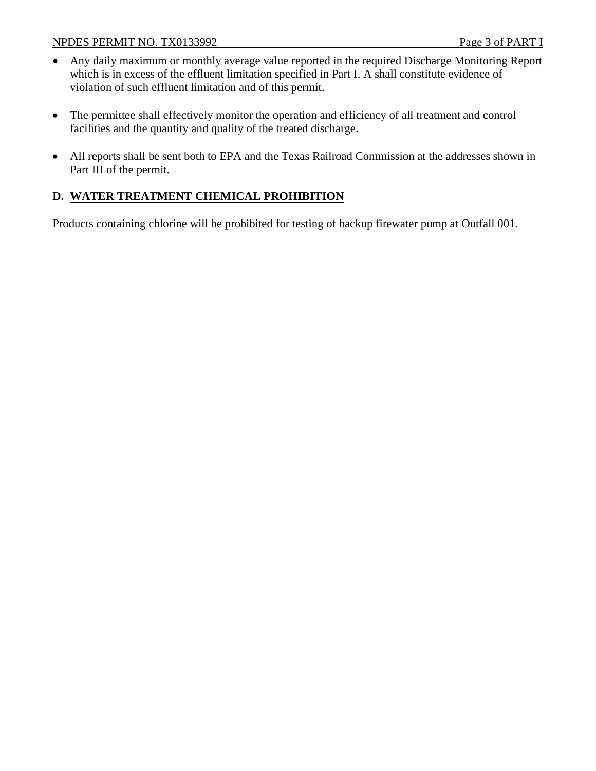- Any daily maximum or monthly average value reported in the required Discharge Monitoring Report which is in excess of the effluent limitation specified in Part I. A shall constitute evidence of violation of such effluent limitation and of this permit.
- The permittee shall effectively monitor the operation and efficiency of all treatment and control facilities and the quantity and quality of the treated discharge.
- All reports shall be sent both to EPA and the Texas Railroad Commission at the addresses shown in Part III of the permit.

## **D. WATER TREATMENT CHEMICAL PROHIBITION**

Products containing chlorine will be prohibited for testing of backup firewater pump at Outfall 001.